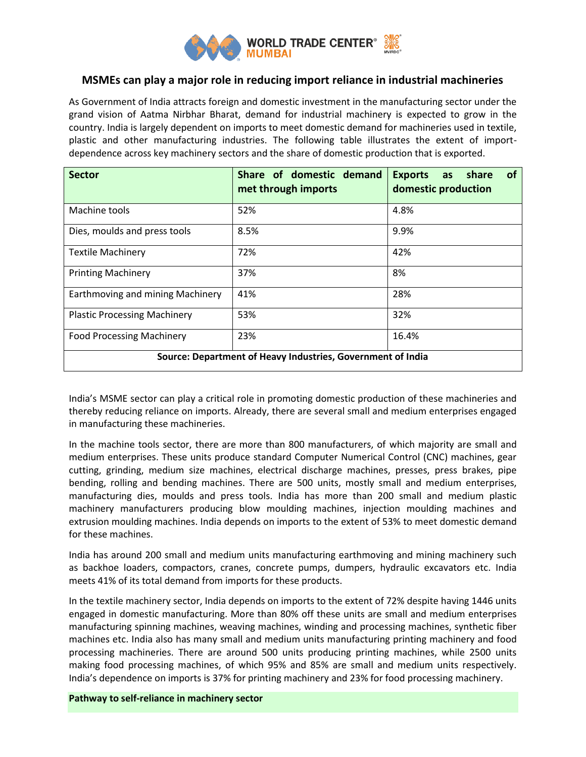

# **MSMEs can play a major role in reducing import reliance in industrial machineries**

As Government of India attracts foreign and domestic investment in the manufacturing sector under the grand vision of Aatma Nirbhar Bharat, demand for industrial machinery is expected to grow in the country. India is largely dependent on imports to meet domestic demand for machineries used in textile, plastic and other manufacturing industries. The following table illustrates the extent of importdependence across key machinery sectors and the share of domestic production that is exported.

| <b>Sector</b>                                               | Share of domestic demand<br>met through imports | share<br><b>of</b><br><b>Exports</b><br>as<br>domestic production |
|-------------------------------------------------------------|-------------------------------------------------|-------------------------------------------------------------------|
| Machine tools                                               | 52%                                             | 4.8%                                                              |
| Dies, moulds and press tools                                | 8.5%                                            | 9.9%                                                              |
| <b>Textile Machinery</b>                                    | 72%                                             | 42%                                                               |
| <b>Printing Machinery</b>                                   | 37%                                             | 8%                                                                |
| Earthmoving and mining Machinery                            | 41%                                             | 28%                                                               |
| <b>Plastic Processing Machinery</b>                         | 53%                                             | 32%                                                               |
| <b>Food Processing Machinery</b>                            | 23%                                             | 16.4%                                                             |
| Source: Department of Heavy Industries, Government of India |                                                 |                                                                   |

India's MSME sector can play a critical role in promoting domestic production of these machineries and thereby reducing reliance on imports. Already, there are several small and medium enterprises engaged in manufacturing these machineries.

In the machine tools sector, there are more than 800 manufacturers, of which majority are small and medium enterprises. These units produce standard Computer Numerical Control (CNC) machines, gear cutting, grinding, medium size machines, electrical discharge machines, presses, press brakes, pipe bending, rolling and bending machines. There are 500 units, mostly small and medium enterprises, manufacturing dies, moulds and press tools. India has more than 200 small and medium plastic machinery manufacturers producing blow moulding machines, injection moulding machines and extrusion moulding machines. India depends on imports to the extent of 53% to meet domestic demand for these machines.

India has around 200 small and medium units manufacturing earthmoving and mining machinery such as backhoe loaders, compactors, cranes, concrete pumps, dumpers, hydraulic excavators etc. India meets 41% of its total demand from imports for these products.

In the textile machinery sector, India depends on imports to the extent of 72% despite having 1446 units engaged in domestic manufacturing. More than 80% off these units are small and medium enterprises manufacturing spinning machines, weaving machines, winding and processing machines, synthetic fiber machines etc. India also has many small and medium units manufacturing printing machinery and food processing machineries. There are around 500 units producing printing machines, while 2500 units making food processing machines, of which 95% and 85% are small and medium units respectively. India's dependence on imports is 37% for printing machinery and 23% for food processing machinery.

**Pathway to self-reliance in machinery sector**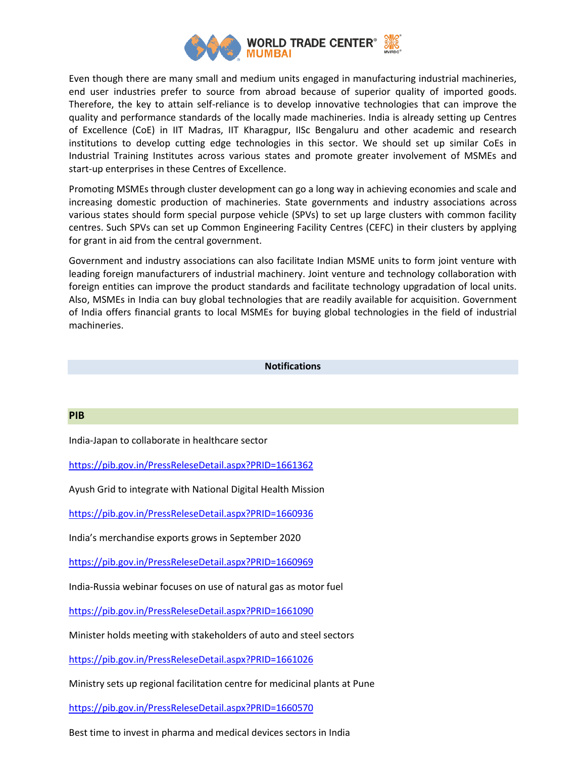

Even though there are many small and medium units engaged in manufacturing industrial machineries, end user industries prefer to source from abroad because of superior quality of imported goods. Therefore, the key to attain self-reliance is to develop innovative technologies that can improve the quality and performance standards of the locally made machineries. India is already setting up Centres of Excellence (CoE) in IIT Madras, IIT Kharagpur, IISc Bengaluru and other academic and research institutions to develop cutting edge technologies in this sector. We should set up similar CoEs in Industrial Training Institutes across various states and promote greater involvement of MSMEs and start-up enterprises in these Centres of Excellence.

Promoting MSMEs through cluster development can go a long way in achieving economies and scale and increasing domestic production of machineries. State governments and industry associations across various states should form special purpose vehicle (SPVs) to set up large clusters with common facility centres. Such SPVs can set up Common Engineering Facility Centres (CEFC) in their clusters by applying for grant in aid from the central government.

Government and industry associations can also facilitate Indian MSME units to form joint venture with leading foreign manufacturers of industrial machinery. Joint venture and technology collaboration with foreign entities can improve the product standards and facilitate technology upgradation of local units. Also, MSMEs in India can buy global technologies that are readily available for acquisition. Government of India offers financial grants to local MSMEs for buying global technologies in the field of industrial machineries.

#### **Notifications**

#### **PIB**

India-Japan to collaborate in healthcare sector

<https://pib.gov.in/PressReleseDetail.aspx?PRID=1661362>

Ayush Grid to integrate with National Digital Health Mission

<https://pib.gov.in/PressReleseDetail.aspx?PRID=1660936>

India's merchandise exports grows in September 2020

<https://pib.gov.in/PressReleseDetail.aspx?PRID=1660969>

India-Russia webinar focuses on use of natural gas as motor fuel

<https://pib.gov.in/PressReleseDetail.aspx?PRID=1661090>

Minister holds meeting with stakeholders of auto and steel sectors

<https://pib.gov.in/PressReleseDetail.aspx?PRID=1661026>

Ministry sets up regional facilitation centre for medicinal plants at Pune

<https://pib.gov.in/PressReleseDetail.aspx?PRID=1660570>

Best time to invest in pharma and medical devices sectors in India